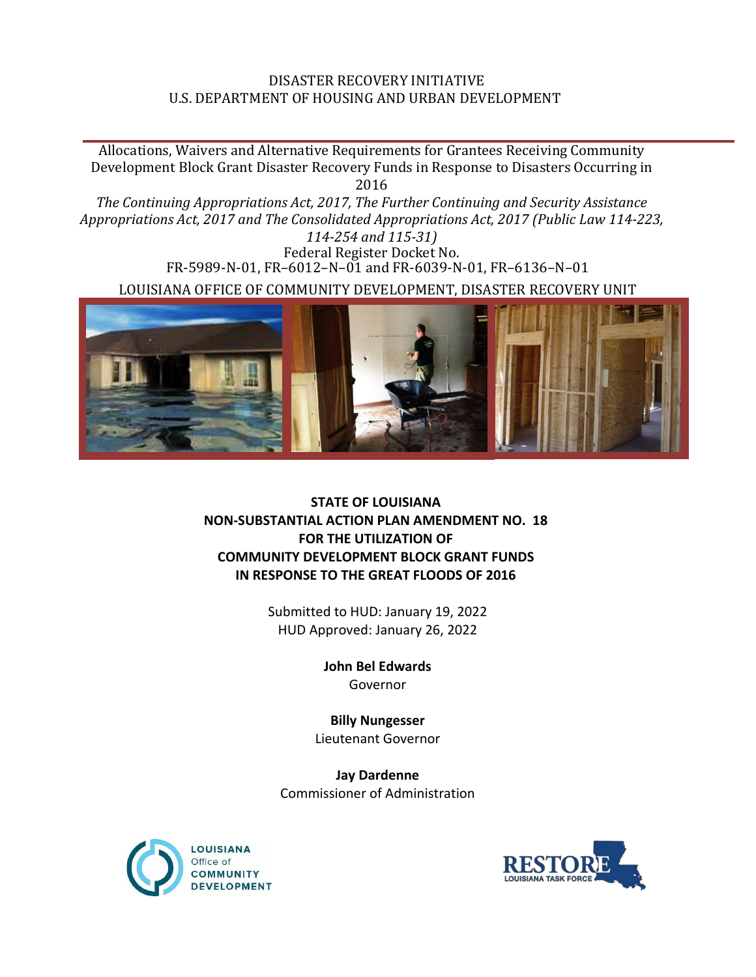## DISASTER RECOVERY INITIATIVE U.S. DEPARTMENT OF HOUSING AND URBAN DEVELOPMENT

Allocations, Waivers and Alternative Requirements for Grantees Receiving Community Development Block Grant Disaster Recovery Funds in Response to Disasters Occurring in 2016 *The Continuing Appropriations Act, 2017, The Further Continuing and Security Assistance Appropriations Act, 2017 and The Consolidated Appropriations Act, 2017 (Public Law 114-223, 114-254 and 115-31)* Federal Register Docket No. FR-5989-N-01, FR–6012–N–01 and FR-6039-N-01, FR–6136–N–01

LOUISIANA OFFICE OF COMMUNITY DEVELOPMENT, DISASTER RECOVERY UNIT



## **STATE OF LOUISIANA NON-SUBSTANTIAL ACTION PLAN AMENDMENT NO. 18 FOR THE UTILIZATION OF COMMUNITY DEVELOPMENT BLOCK GRANT FUNDS IN RESPONSE TO THE GREAT FLOODS OF 2016**

Submitted to HUD: January 19, 2022 HUD Approved: January 26, 2022

> **John Bel Edwards** Governor

**Billy Nungesser** Lieutenant Governor

**Jay Dardenne** Commissioner of Administration



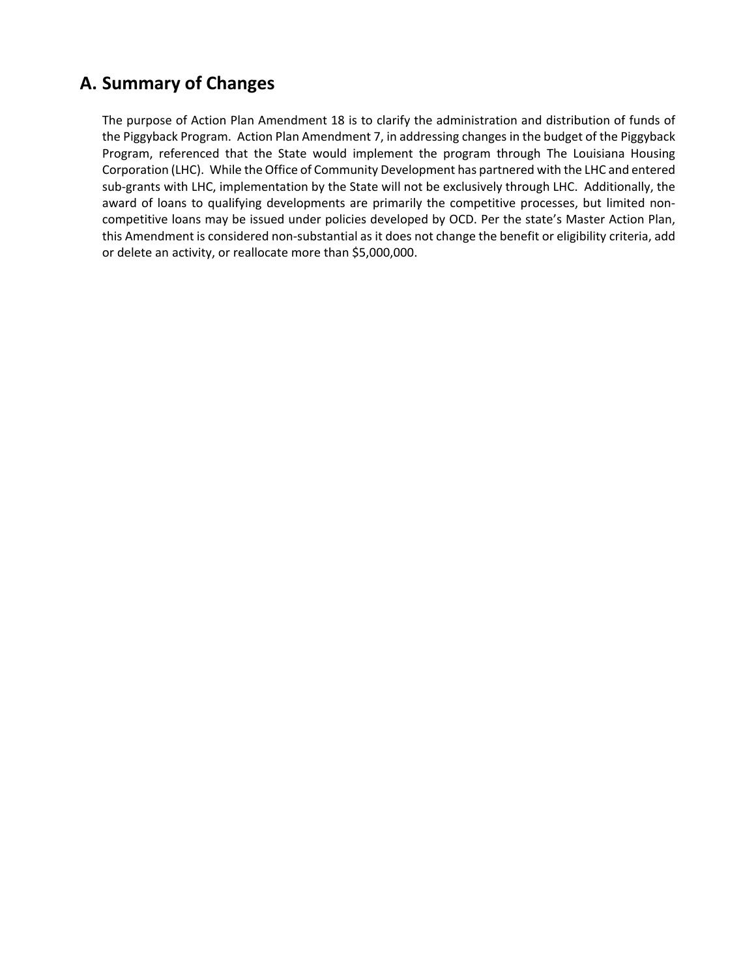## **A. Summary of Changes**

The purpose of Action Plan Amendment 18 is to clarify the administration and distribution of funds of the Piggyback Program. Action Plan Amendment 7, in addressing changes in the budget of the Piggyback Program, referenced that the State would implement the program through The Louisiana Housing Corporation (LHC). While the Office of Community Development has partnered with the LHC and entered sub-grants with LHC, implementation by the State will not be exclusively through LHC. Additionally, the award of loans to qualifying developments are primarily the competitive processes, but limited noncompetitive loans may be issued under policies developed by OCD. Per the state's Master Action Plan, this Amendment is considered non-substantial as it does not change the benefit or eligibility criteria, add or delete an activity, or reallocate more than \$5,000,000.